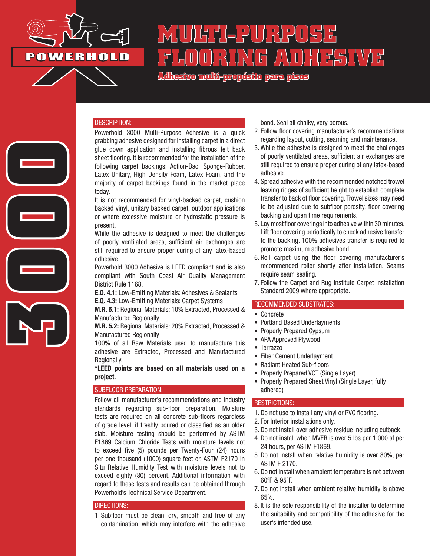

**3000**

# **MULTI-PURPOSE FLOORING ADHESIVE**

**Adhesivo multi-propósito para pisos**

#### DESCRIPTION:

Powerhold 3000 Multi-Purpose Adhesive is a quick grabbing adhesive designed for installing carpet in a direct glue down application and installing fibrous felt back sheet flooring. It is recommended for the installation of the following carpet backings: Action-Bac, Sponge-Rubber, Latex Unitary, High Density Foam, Latex Foam, and the majority of carpet backings found in the market place today.

It is not recommended for vinyl-backed carpet, cushion backed vinyl, unitary backed carpet, outdoor applications or where excessive moisture or hydrostatic pressure is present.

While the adhesive is designed to meet the challenges of poorly ventilated areas, sufficient air exchanges are still required to ensure proper curing of any latex-based adhesive.

Powerhold 3000 Adhesive is LEED compliant and is also compliant with South Coast Air Quality Management District Rule 1168.

E.Q. 4.1: Low-Emitting Materials: Adhesives & Sealants E.Q. 4.3: Low-Emitting Materials: Carpet Systems

M.R. 5.1: Regional Materials: 10% Extracted, Processed & Manufactured Regionally

M.R. 5.2: Regional Materials: 20% Extracted, Processed & Manufactured Regionally

100% of all Raw Materials used to manufacture this adhesive are Extracted, Processed and Manufactured Regionally.

\*LEED points are based on all materials used on a project.

## SUBFLOOR PREPARATION:

Follow all manufacturer's recommendations and industry standards regarding sub-floor preparation. Moisture tests are required on all concrete sub-floors regardless of grade level, if freshly poured or classified as an older slab. Moisture testing should be performed by ASTM F1869 Calcium Chloride Tests with moisture levels not to exceed five (5) pounds per Twenty-Four (24) hours per one thousand (1000) square feet or, ASTM F2170 In Situ Relative Humidity Test with moisture levels not to exceed eighty (80) percent. Additional information with regard to these tests and results can be obtained through Powerhold's Technical Service Department.

#### DIRECTIONS:

1. Subfloor must be clean, dry, smooth and free of any contamination, which may interfere with the adhesive bond. Seal all chalky, very porous.

- 2. Follow floor covering manufacturer's recommendations regarding layout, cutting, seaming and maintenance.
- 3. While the adhesive is designed to meet the challenges of poorly ventilated areas, sufficient air exchanges are still required to ensure proper curing of any latex-based adhesive.
- 4. Spread adhesive with the recommended notched trowel leaving ridges of sufficient height to establish complete transfer to back of floor covering. Trowel sizes may need to be adjusted due to subfloor porosity, floor covering backing and open time requirements.
- 5. Lay most floor coverings into adhesive within 30 minutes. Lift floor covering periodically to check adhesive transfer to the backing. 100% adhesives transfer is required to promote maximum adhesive bond.
- 6. Roll carpet using the floor covering manufacturer's recommended roller shortly after installation. Seams require seam sealing.
- 7. Follow the Carpet and Rug Institute Carpet Installation Standard 2009 where appropriate.

## RECOMMENDED SUBSTRATES:

- Concrete
- Portland Based Underlayments
- Properly Prepared Gypsum
- APA Approved Plywood
- Terrazzo
- Fiber Cement Underlayment
- Radiant Heated Sub-floors
- Properly Prepared VCT (Single Layer)
- Properly Prepared Sheet Vinyl (Single Layer, fully adhered)

#### RESTRICTIONS:

- 1. Do not use to install any vinyl or PVC flooring.
- 2. For Interior installations only.
- 3. Do not install over adhesive residue including cutback.
- 4. Do not install when MVER is over 5 lbs per 1,000 sf per 24 hours, per ASTM F1869.
- 5. Do not install when relative humidity is over 80%, per ASTM F 2170.
- 6. Do not install when ambient temperature is not between 60ºF & 95ºF.
- 7. Do not install when ambient relative humidity is above 65%.
- 8. It is the sole responsibility of the installer to determine the suitability and compatibility of the adhesive for the user's intended use.